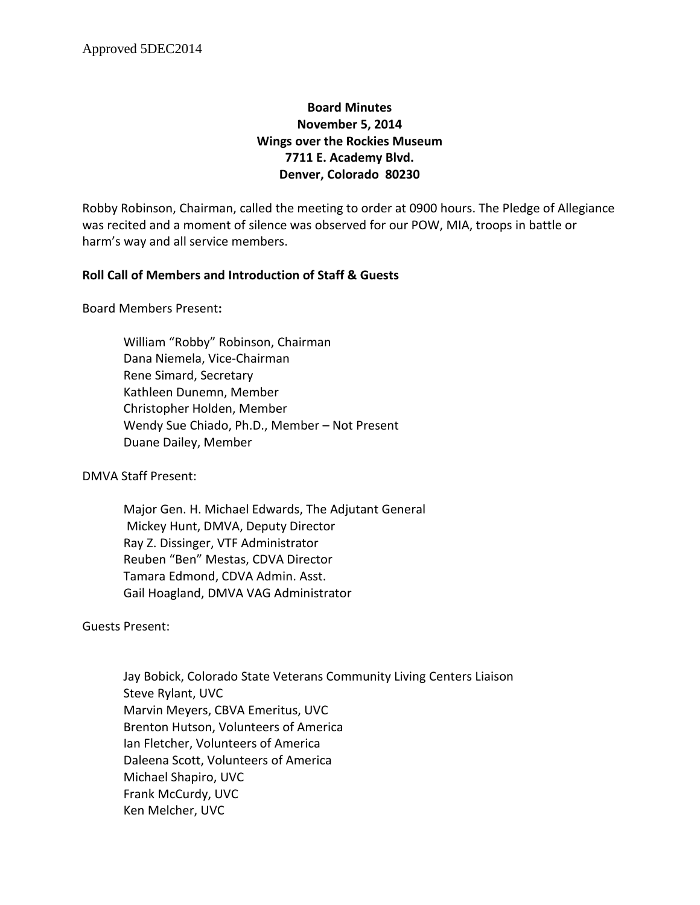# **Board Minutes November 5, 2014 Wings over the Rockies Museum 7711 E. Academy Blvd. Denver, Colorado 80230**

Robby Robinson, Chairman, called the meeting to order at 0900 hours. The Pledge of Allegiance was recited and a moment of silence was observed for our POW, MIA, troops in battle or harm's way and all service members.

## **Roll Call of Members and Introduction of Staff & Guests**

Board Members Present**:**

William "Robby" Robinson, Chairman Dana Niemela, Vice-Chairman Rene Simard, Secretary Kathleen Dunemn, Member Christopher Holden, Member Wendy Sue Chiado, Ph.D., Member – Not Present Duane Dailey, Member

DMVA Staff Present:

Major Gen. H. Michael Edwards, The Adjutant General Mickey Hunt, DMVA, Deputy Director Ray Z. Dissinger, VTF Administrator Reuben "Ben" Mestas, CDVA Director Tamara Edmond, CDVA Admin. Asst. Gail Hoagland, DMVA VAG Administrator

Guests Present:

Jay Bobick, Colorado State Veterans Community Living Centers Liaison Steve Rylant, UVC Marvin Meyers, CBVA Emeritus, UVC Brenton Hutson, Volunteers of America Ian Fletcher, Volunteers of America Daleena Scott, Volunteers of America Michael Shapiro, UVC Frank McCurdy, UVC Ken Melcher, UVC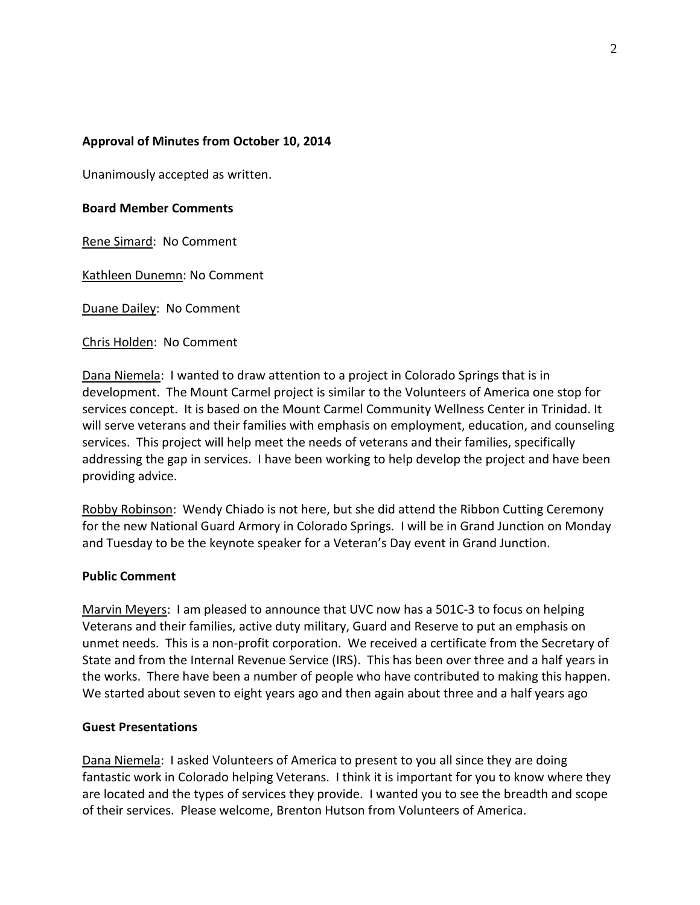## **Approval of Minutes from October 10, 2014**

Unanimously accepted as written.

### **Board Member Comments**

Rene Simard: No Comment

Kathleen Dunemn: No Comment

Duane Dailey: No Comment

Chris Holden: No Comment

Dana Niemela: I wanted to draw attention to a project in Colorado Springs that is in development. The Mount Carmel project is similar to the Volunteers of America one stop for services concept. It is based on the Mount Carmel Community Wellness Center in Trinidad. It will serve veterans and their families with emphasis on employment, education, and counseling services. This project will help meet the needs of veterans and their families, specifically addressing the gap in services. I have been working to help develop the project and have been providing advice.

Robby Robinson: Wendy Chiado is not here, but she did attend the Ribbon Cutting Ceremony for the new National Guard Armory in Colorado Springs. I will be in Grand Junction on Monday and Tuesday to be the keynote speaker for a Veteran's Day event in Grand Junction.

### **Public Comment**

Marvin Meyers: I am pleased to announce that UVC now has a 501C-3 to focus on helping Veterans and their families, active duty military, Guard and Reserve to put an emphasis on unmet needs. This is a non-profit corporation. We received a certificate from the Secretary of State and from the Internal Revenue Service (IRS). This has been over three and a half years in the works. There have been a number of people who have contributed to making this happen. We started about seven to eight years ago and then again about three and a half years ago

### **Guest Presentations**

Dana Niemela: I asked Volunteers of America to present to you all since they are doing fantastic work in Colorado helping Veterans. I think it is important for you to know where they are located and the types of services they provide. I wanted you to see the breadth and scope of their services. Please welcome, Brenton Hutson from Volunteers of America.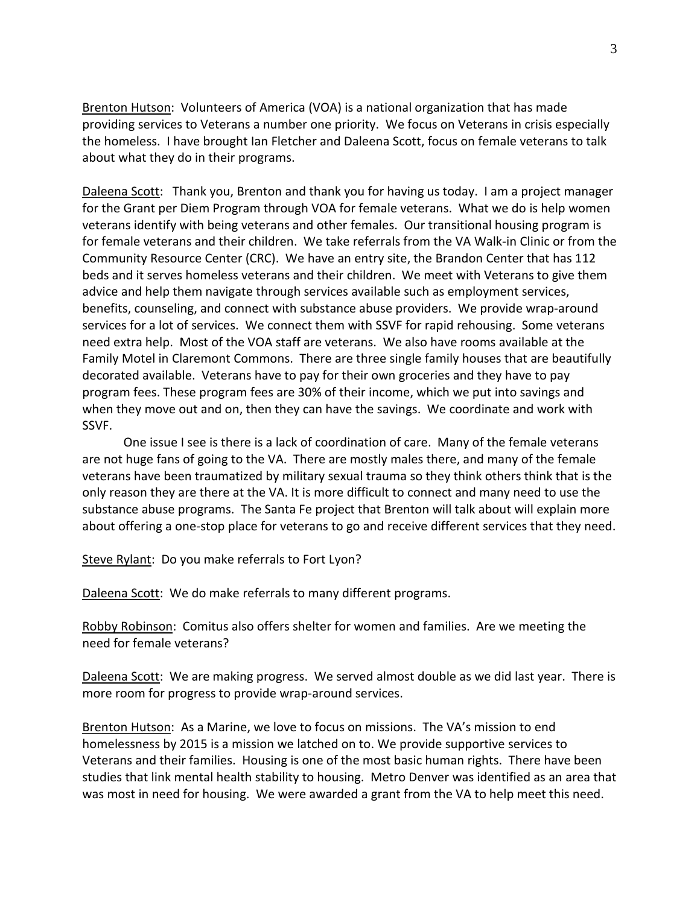Brenton Hutson: Volunteers of America (VOA) is a national organization that has made providing services to Veterans a number one priority. We focus on Veterans in crisis especially the homeless. I have brought Ian Fletcher and Daleena Scott, focus on female veterans to talk about what they do in their programs.

Daleena Scott: Thank you, Brenton and thank you for having us today. I am a project manager for the Grant per Diem Program through VOA for female veterans. What we do is help women veterans identify with being veterans and other females. Our transitional housing program is for female veterans and their children. We take referrals from the VA Walk-in Clinic or from the Community Resource Center (CRC). We have an entry site, the Brandon Center that has 112 beds and it serves homeless veterans and their children. We meet with Veterans to give them advice and help them navigate through services available such as employment services, benefits, counseling, and connect with substance abuse providers. We provide wrap-around services for a lot of services. We connect them with SSVF for rapid rehousing. Some veterans need extra help. Most of the VOA staff are veterans. We also have rooms available at the Family Motel in Claremont Commons. There are three single family houses that are beautifully decorated available. Veterans have to pay for their own groceries and they have to pay program fees. These program fees are 30% of their income, which we put into savings and when they move out and on, then they can have the savings. We coordinate and work with SSVF.

One issue I see is there is a lack of coordination of care. Many of the female veterans are not huge fans of going to the VA. There are mostly males there, and many of the female veterans have been traumatized by military sexual trauma so they think others think that is the only reason they are there at the VA. It is more difficult to connect and many need to use the substance abuse programs. The Santa Fe project that Brenton will talk about will explain more about offering a one-stop place for veterans to go and receive different services that they need.

Steve Rylant: Do you make referrals to Fort Lyon?

Daleena Scott: We do make referrals to many different programs.

Robby Robinson: Comitus also offers shelter for women and families. Are we meeting the need for female veterans?

Daleena Scott: We are making progress. We served almost double as we did last year. There is more room for progress to provide wrap-around services.

Brenton Hutson: As a Marine, we love to focus on missions. The VA's mission to end homelessness by 2015 is a mission we latched on to. We provide supportive services to Veterans and their families. Housing is one of the most basic human rights. There have been studies that link mental health stability to housing. Metro Denver was identified as an area that was most in need for housing. We were awarded a grant from the VA to help meet this need.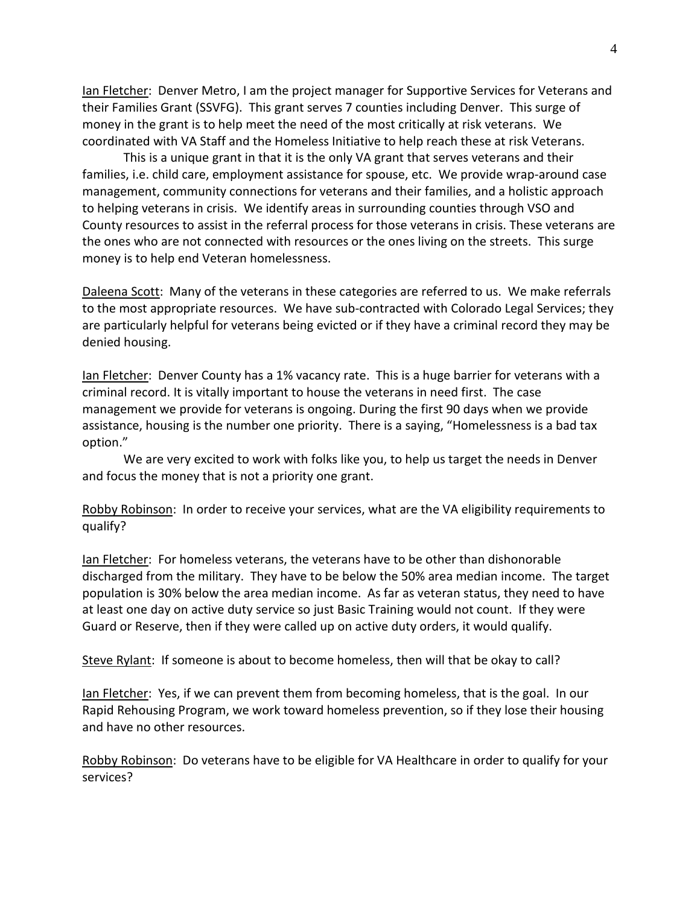Ian Fletcher: Denver Metro, I am the project manager for Supportive Services for Veterans and their Families Grant (SSVFG). This grant serves 7 counties including Denver. This surge of money in the grant is to help meet the need of the most critically at risk veterans. We coordinated with VA Staff and the Homeless Initiative to help reach these at risk Veterans.

This is a unique grant in that it is the only VA grant that serves veterans and their families, i.e. child care, employment assistance for spouse, etc. We provide wrap-around case management, community connections for veterans and their families, and a holistic approach to helping veterans in crisis. We identify areas in surrounding counties through VSO and County resources to assist in the referral process for those veterans in crisis. These veterans are the ones who are not connected with resources or the ones living on the streets. This surge money is to help end Veteran homelessness.

Daleena Scott: Many of the veterans in these categories are referred to us. We make referrals to the most appropriate resources. We have sub-contracted with Colorado Legal Services; they are particularly helpful for veterans being evicted or if they have a criminal record they may be denied housing.

Ian Fletcher: Denver County has a 1% vacancy rate. This is a huge barrier for veterans with a criminal record. It is vitally important to house the veterans in need first. The case management we provide for veterans is ongoing. During the first 90 days when we provide assistance, housing is the number one priority. There is a saying, "Homelessness is a bad tax option."

We are very excited to work with folks like you, to help us target the needs in Denver and focus the money that is not a priority one grant.

Robby Robinson: In order to receive your services, what are the VA eligibility requirements to qualify?

Ian Fletcher: For homeless veterans, the veterans have to be other than dishonorable discharged from the military. They have to be below the 50% area median income. The target population is 30% below the area median income. As far as veteran status, they need to have at least one day on active duty service so just Basic Training would not count. If they were Guard or Reserve, then if they were called up on active duty orders, it would qualify.

Steve Rylant: If someone is about to become homeless, then will that be okay to call?

Ian Fletcher: Yes, if we can prevent them from becoming homeless, that is the goal. In our Rapid Rehousing Program, we work toward homeless prevention, so if they lose their housing and have no other resources.

Robby Robinson: Do veterans have to be eligible for VA Healthcare in order to qualify for your services?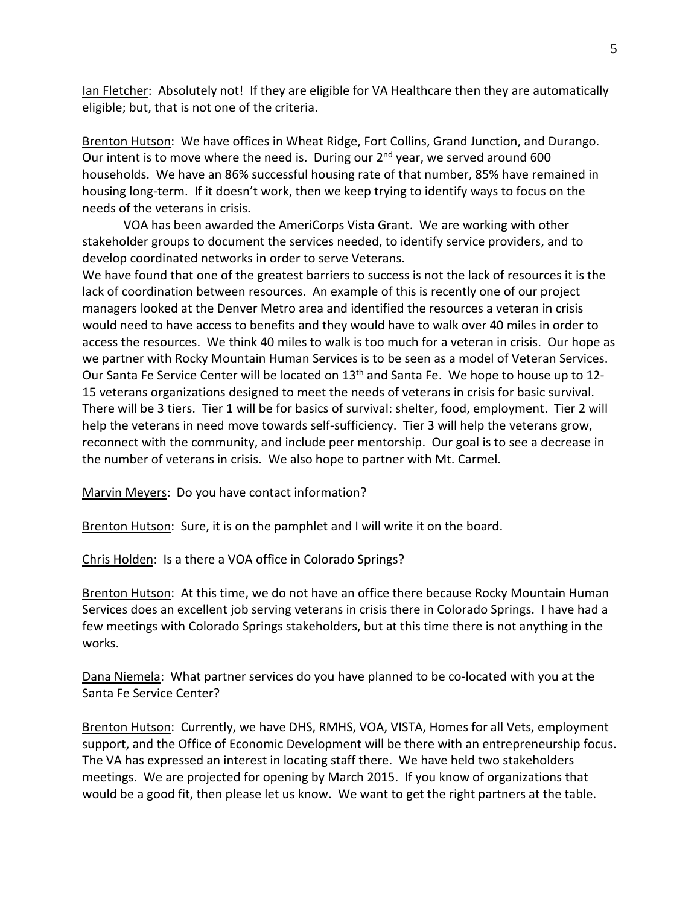Ian Fletcher: Absolutely not! If they are eligible for VA Healthcare then they are automatically eligible; but, that is not one of the criteria.

Brenton Hutson: We have offices in Wheat Ridge, Fort Collins, Grand Junction, and Durango. Our intent is to move where the need is. During our  $2^{nd}$  year, we served around 600 households. We have an 86% successful housing rate of that number, 85% have remained in housing long-term. If it doesn't work, then we keep trying to identify ways to focus on the needs of the veterans in crisis.

VOA has been awarded the AmeriCorps Vista Grant. We are working with other stakeholder groups to document the services needed, to identify service providers, and to develop coordinated networks in order to serve Veterans.

We have found that one of the greatest barriers to success is not the lack of resources it is the lack of coordination between resources. An example of this is recently one of our project managers looked at the Denver Metro area and identified the resources a veteran in crisis would need to have access to benefits and they would have to walk over 40 miles in order to access the resources. We think 40 miles to walk is too much for a veteran in crisis. Our hope as we partner with Rocky Mountain Human Services is to be seen as a model of Veteran Services. Our Santa Fe Service Center will be located on 13<sup>th</sup> and Santa Fe. We hope to house up to 12-15 veterans organizations designed to meet the needs of veterans in crisis for basic survival. There will be 3 tiers. Tier 1 will be for basics of survival: shelter, food, employment. Tier 2 will help the veterans in need move towards self-sufficiency. Tier 3 will help the veterans grow, reconnect with the community, and include peer mentorship. Our goal is to see a decrease in the number of veterans in crisis. We also hope to partner with Mt. Carmel.

Marvin Meyers: Do you have contact information?

Brenton Hutson: Sure, it is on the pamphlet and I will write it on the board.

Chris Holden: Is a there a VOA office in Colorado Springs?

Brenton Hutson: At this time, we do not have an office there because Rocky Mountain Human Services does an excellent job serving veterans in crisis there in Colorado Springs. I have had a few meetings with Colorado Springs stakeholders, but at this time there is not anything in the works.

Dana Niemela: What partner services do you have planned to be co-located with you at the Santa Fe Service Center?

Brenton Hutson: Currently, we have DHS, RMHS, VOA, VISTA, Homes for all Vets, employment support, and the Office of Economic Development will be there with an entrepreneurship focus. The VA has expressed an interest in locating staff there. We have held two stakeholders meetings. We are projected for opening by March 2015. If you know of organizations that would be a good fit, then please let us know. We want to get the right partners at the table.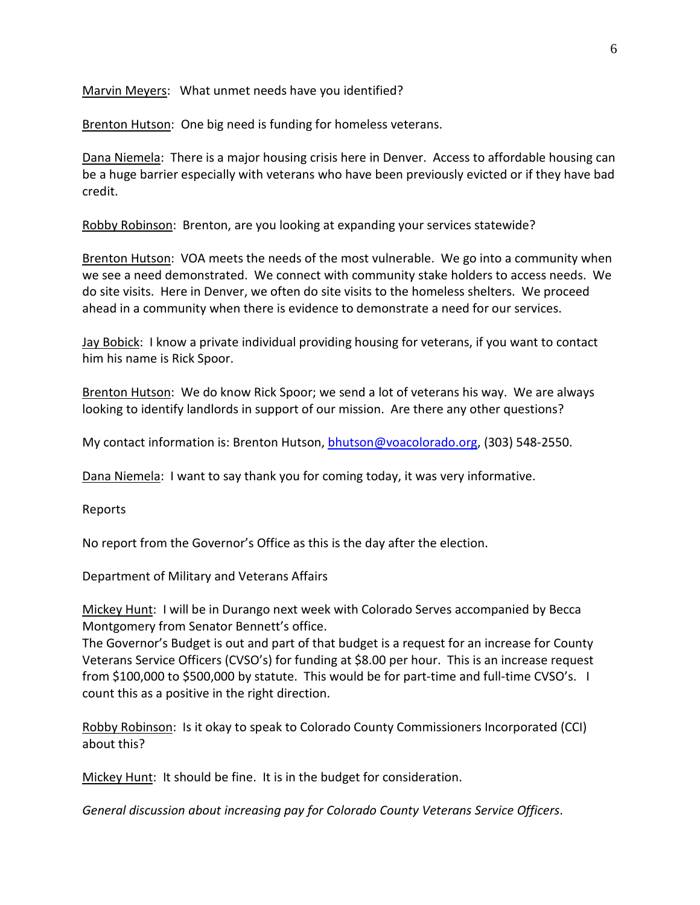Marvin Meyers: What unmet needs have you identified?

Brenton Hutson: One big need is funding for homeless veterans.

Dana Niemela: There is a major housing crisis here in Denver. Access to affordable housing can be a huge barrier especially with veterans who have been previously evicted or if they have bad credit.

Robby Robinson: Brenton, are you looking at expanding your services statewide?

Brenton Hutson: VOA meets the needs of the most vulnerable. We go into a community when we see a need demonstrated. We connect with community stake holders to access needs. We do site visits. Here in Denver, we often do site visits to the homeless shelters. We proceed ahead in a community when there is evidence to demonstrate a need for our services.

Jay Bobick: I know a private individual providing housing for veterans, if you want to contact him his name is Rick Spoor.

Brenton Hutson: We do know Rick Spoor; we send a lot of veterans his way. We are always looking to identify landlords in support of our mission. Are there any other questions?

My contact information is: Brenton Hutson, [bhutson@voacolorado.org,](mailto:bhutson@voacolorado.org) (303) 548-2550.

Dana Niemela: I want to say thank you for coming today, it was very informative.

Reports

No report from the Governor's Office as this is the day after the election.

Department of Military and Veterans Affairs

Mickey Hunt: I will be in Durango next week with Colorado Serves accompanied by Becca Montgomery from Senator Bennett's office.

The Governor's Budget is out and part of that budget is a request for an increase for County Veterans Service Officers (CVSO's) for funding at \$8.00 per hour. This is an increase request from \$100,000 to \$500,000 by statute. This would be for part-time and full-time CVSO's. I count this as a positive in the right direction.

Robby Robinson: Is it okay to speak to Colorado County Commissioners Incorporated (CCI) about this?

Mickey Hunt: It should be fine. It is in the budget for consideration.

*General discussion about increasing pay for Colorado County Veterans Service Officers*.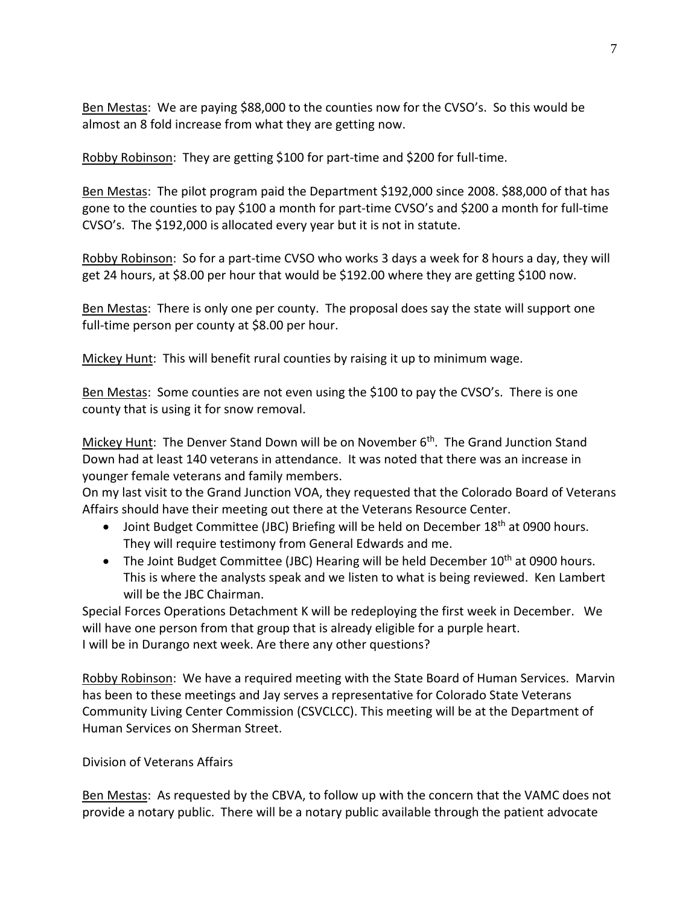Ben Mestas: We are paying \$88,000 to the counties now for the CVSO's. So this would be almost an 8 fold increase from what they are getting now.

Robby Robinson: They are getting \$100 for part-time and \$200 for full-time.

Ben Mestas: The pilot program paid the Department \$192,000 since 2008. \$88,000 of that has gone to the counties to pay \$100 a month for part-time CVSO's and \$200 a month for full-time CVSO's. The \$192,000 is allocated every year but it is not in statute.

Robby Robinson: So for a part-time CVSO who works 3 days a week for 8 hours a day, they will get 24 hours, at \$8.00 per hour that would be \$192.00 where they are getting \$100 now.

Ben Mestas: There is only one per county. The proposal does say the state will support one full-time person per county at \$8.00 per hour.

Mickey Hunt: This will benefit rural counties by raising it up to minimum wage.

Ben Mestas: Some counties are not even using the \$100 to pay the CVSO's. There is one county that is using it for snow removal.

Mickey Hunt: The Denver Stand Down will be on November 6<sup>th</sup>. The Grand Junction Stand Down had at least 140 veterans in attendance. It was noted that there was an increase in younger female veterans and family members.

On my last visit to the Grand Junction VOA, they requested that the Colorado Board of Veterans Affairs should have their meeting out there at the Veterans Resource Center.

- Joint Budget Committee (JBC) Briefing will be held on December 18<sup>th</sup> at 0900 hours. They will require testimony from General Edwards and me.
- The Joint Budget Committee (JBC) Hearing will be held December 10<sup>th</sup> at 0900 hours. This is where the analysts speak and we listen to what is being reviewed. Ken Lambert will be the JBC Chairman.

Special Forces Operations Detachment K will be redeploying the first week in December. We will have one person from that group that is already eligible for a purple heart. I will be in Durango next week. Are there any other questions?

Robby Robinson: We have a required meeting with the State Board of Human Services. Marvin has been to these meetings and Jay serves a representative for Colorado State Veterans Community Living Center Commission (CSVCLCC). This meeting will be at the Department of Human Services on Sherman Street.

## Division of Veterans Affairs

Ben Mestas: As requested by the CBVA, to follow up with the concern that the VAMC does not provide a notary public. There will be a notary public available through the patient advocate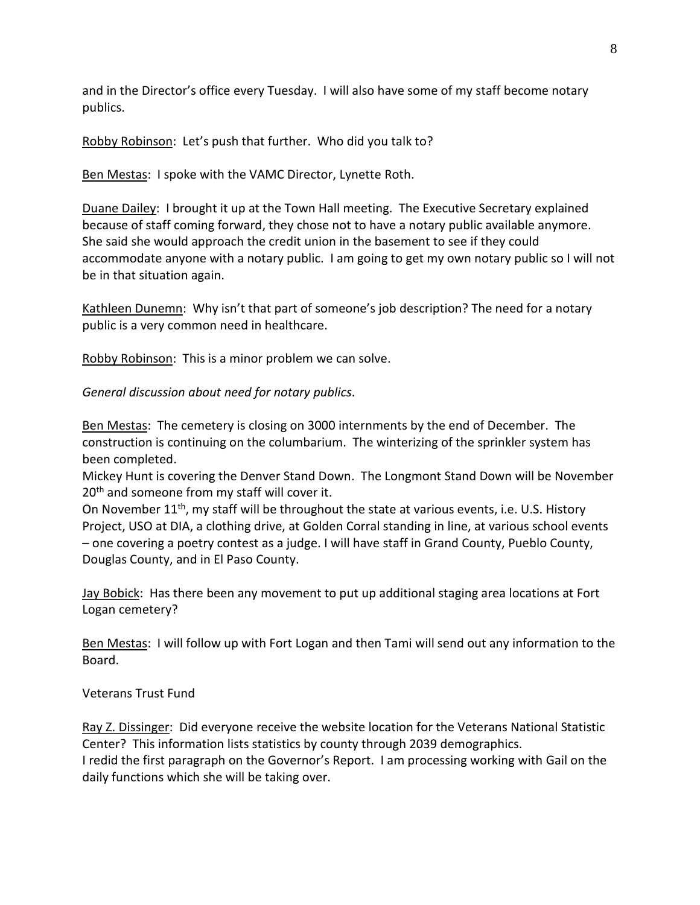and in the Director's office every Tuesday. I will also have some of my staff become notary publics.

Robby Robinson: Let's push that further. Who did you talk to?

Ben Mestas: I spoke with the VAMC Director, Lynette Roth.

Duane Dailey: I brought it up at the Town Hall meeting. The Executive Secretary explained because of staff coming forward, they chose not to have a notary public available anymore. She said she would approach the credit union in the basement to see if they could accommodate anyone with a notary public. I am going to get my own notary public so I will not be in that situation again.

Kathleen Dunemn: Why isn't that part of someone's job description? The need for a notary public is a very common need in healthcare.

Robby Robinson: This is a minor problem we can solve.

*General discussion about need for notary publics*.

Ben Mestas: The cemetery is closing on 3000 internments by the end of December. The construction is continuing on the columbarium. The winterizing of the sprinkler system has been completed.

Mickey Hunt is covering the Denver Stand Down. The Longmont Stand Down will be November 20<sup>th</sup> and someone from my staff will cover it.

On November 11<sup>th</sup>, my staff will be throughout the state at various events, i.e. U.S. History Project, USO at DIA, a clothing drive, at Golden Corral standing in line, at various school events – one covering a poetry contest as a judge. I will have staff in Grand County, Pueblo County, Douglas County, and in El Paso County.

Jay Bobick: Has there been any movement to put up additional staging area locations at Fort Logan cemetery?

Ben Mestas: I will follow up with Fort Logan and then Tami will send out any information to the Board.

Veterans Trust Fund

Ray Z. Dissinger: Did everyone receive the website location for the Veterans National Statistic Center? This information lists statistics by county through 2039 demographics. I redid the first paragraph on the Governor's Report. I am processing working with Gail on the

daily functions which she will be taking over.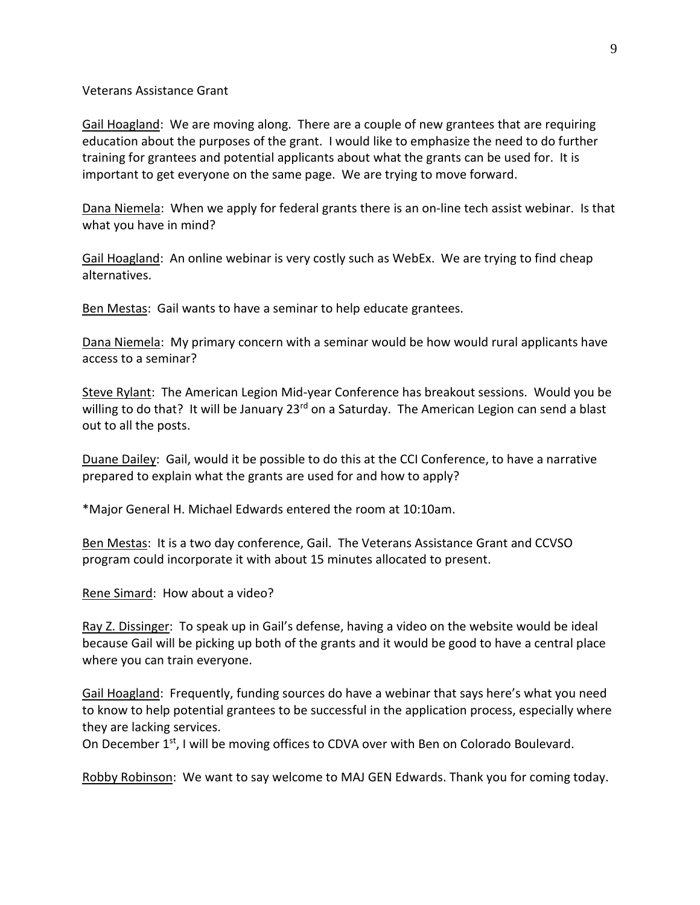#### Veterans Assistance Grant

Gail Hoagland: We are moving along. There are a couple of new grantees that are requiring education about the purposes of the grant. I would like to emphasize the need to do further training for grantees and potential applicants about what the grants can be used for. It is important to get everyone on the same page. We are trying to move forward.

Dana Niemela: When we apply for federal grants there is an on-line tech assist webinar. Is that what you have in mind?

Gail Hoagland: An online webinar is very costly such as WebEx. We are trying to find cheap alternatives.

Ben Mestas: Gail wants to have a seminar to help educate grantees.

Dana Niemela: My primary concern with a seminar would be how would rural applicants have access to a seminar?

Steve Rylant: The American Legion Mid-year Conference has breakout sessions. Would you be willing to do that? It will be January 23<sup>rd</sup> on a Saturday. The American Legion can send a blast out to all the posts.

Duane Dailey: Gail, would it be possible to do this at the CCI Conference, to have a narrative prepared to explain what the grants are used for and how to apply?

\*Major General H. Michael Edwards entered the room at 10:10am.

Ben Mestas: It is a two day conference, Gail. The Veterans Assistance Grant and CCVSO program could incorporate it with about 15 minutes allocated to present.

Rene Simard: How about a video?

Ray Z. Dissinger: To speak up in Gail's defense, having a video on the website would be ideal because Gail will be picking up both of the grants and it would be good to have a central place where you can train everyone.

Gail Hoagland: Frequently, funding sources do have a webinar that says here's what you need to know to help potential grantees to be successful in the application process, especially where they are lacking services.

On December  $1^{st}$ , I will be moving offices to CDVA over with Ben on Colorado Boulevard.

Robby Robinson: We want to say welcome to MAJ GEN Edwards. Thank you for coming today.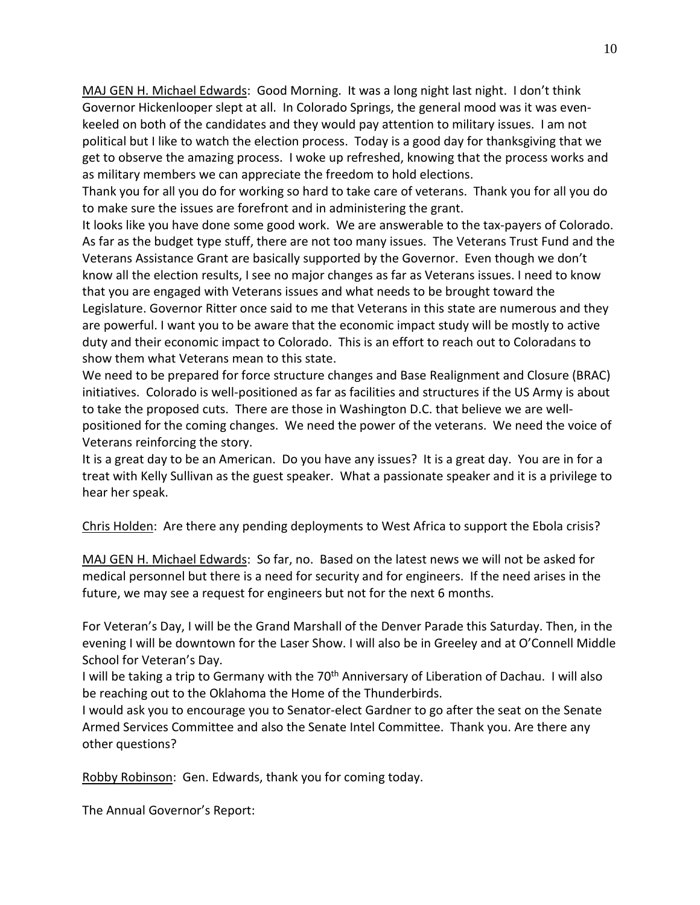MAJ GEN H. Michael Edwards: Good Morning. It was a long night last night. I don't think Governor Hickenlooper slept at all. In Colorado Springs, the general mood was it was evenkeeled on both of the candidates and they would pay attention to military issues. I am not political but I like to watch the election process. Today is a good day for thanksgiving that we get to observe the amazing process. I woke up refreshed, knowing that the process works and as military members we can appreciate the freedom to hold elections.

Thank you for all you do for working so hard to take care of veterans. Thank you for all you do to make sure the issues are forefront and in administering the grant.

It looks like you have done some good work. We are answerable to the tax-payers of Colorado. As far as the budget type stuff, there are not too many issues. The Veterans Trust Fund and the Veterans Assistance Grant are basically supported by the Governor. Even though we don't know all the election results, I see no major changes as far as Veterans issues. I need to know that you are engaged with Veterans issues and what needs to be brought toward the Legislature. Governor Ritter once said to me that Veterans in this state are numerous and they are powerful. I want you to be aware that the economic impact study will be mostly to active duty and their economic impact to Colorado. This is an effort to reach out to Coloradans to show them what Veterans mean to this state.

We need to be prepared for force structure changes and Base Realignment and Closure (BRAC) initiatives. Colorado is well-positioned as far as facilities and structures if the US Army is about to take the proposed cuts. There are those in Washington D.C. that believe we are wellpositioned for the coming changes. We need the power of the veterans. We need the voice of Veterans reinforcing the story.

It is a great day to be an American. Do you have any issues? It is a great day. You are in for a treat with Kelly Sullivan as the guest speaker. What a passionate speaker and it is a privilege to hear her speak.

Chris Holden: Are there any pending deployments to West Africa to support the Ebola crisis?

MAJ GEN H. Michael Edwards: So far, no. Based on the latest news we will not be asked for medical personnel but there is a need for security and for engineers. If the need arises in the future, we may see a request for engineers but not for the next 6 months.

For Veteran's Day, I will be the Grand Marshall of the Denver Parade this Saturday. Then, in the evening I will be downtown for the Laser Show. I will also be in Greeley and at O'Connell Middle School for Veteran's Day.

I will be taking a trip to Germany with the 70<sup>th</sup> Anniversary of Liberation of Dachau. I will also be reaching out to the Oklahoma the Home of the Thunderbirds.

I would ask you to encourage you to Senator-elect Gardner to go after the seat on the Senate Armed Services Committee and also the Senate Intel Committee. Thank you. Are there any other questions?

Robby Robinson: Gen. Edwards, thank you for coming today.

The Annual Governor's Report: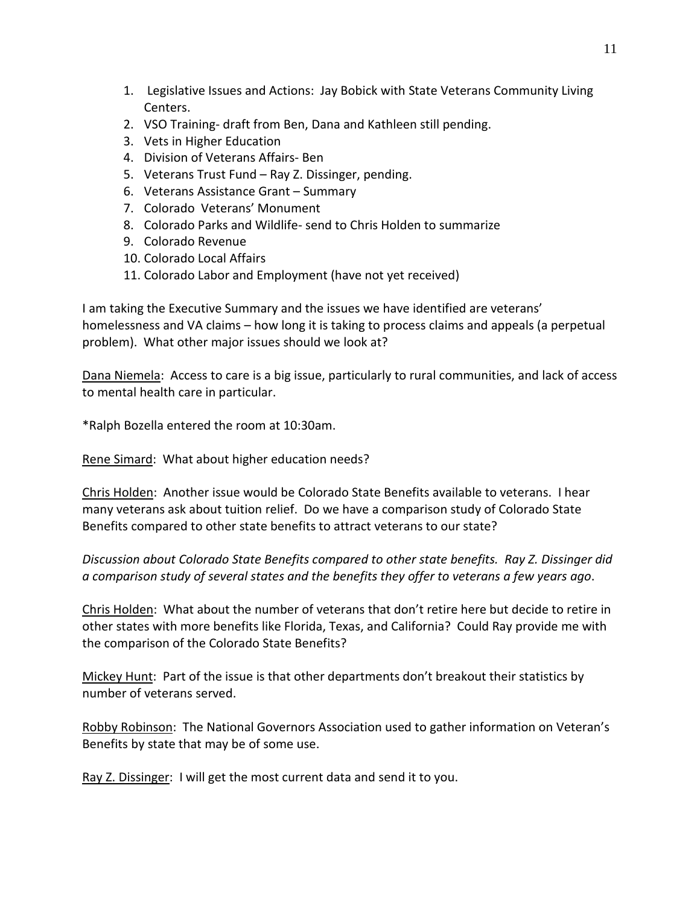- 1. Legislative Issues and Actions: Jay Bobick with State Veterans Community Living Centers.
- 2. VSO Training- draft from Ben, Dana and Kathleen still pending.
- 3. Vets in Higher Education
- 4. Division of Veterans Affairs- Ben
- 5. Veterans Trust Fund Ray Z. Dissinger, pending.
- 6. Veterans Assistance Grant Summary
- 7. Colorado Veterans' Monument
- 8. Colorado Parks and Wildlife- send to Chris Holden to summarize
- 9. Colorado Revenue
- 10. Colorado Local Affairs
- 11. Colorado Labor and Employment (have not yet received)

I am taking the Executive Summary and the issues we have identified are veterans' homelessness and VA claims – how long it is taking to process claims and appeals (a perpetual problem). What other major issues should we look at?

Dana Niemela: Access to care is a big issue, particularly to rural communities, and lack of access to mental health care in particular.

\*Ralph Bozella entered the room at 10:30am.

Rene Simard: What about higher education needs?

Chris Holden: Another issue would be Colorado State Benefits available to veterans. I hear many veterans ask about tuition relief. Do we have a comparison study of Colorado State Benefits compared to other state benefits to attract veterans to our state?

*Discussion about Colorado State Benefits compared to other state benefits. Ray Z. Dissinger did a comparison study of several states and the benefits they offer to veterans a few years ago*.

Chris Holden: What about the number of veterans that don't retire here but decide to retire in other states with more benefits like Florida, Texas, and California? Could Ray provide me with the comparison of the Colorado State Benefits?

Mickey Hunt: Part of the issue is that other departments don't breakout their statistics by number of veterans served.

Robby Robinson: The National Governors Association used to gather information on Veteran's Benefits by state that may be of some use.

Ray Z. Dissinger: I will get the most current data and send it to you.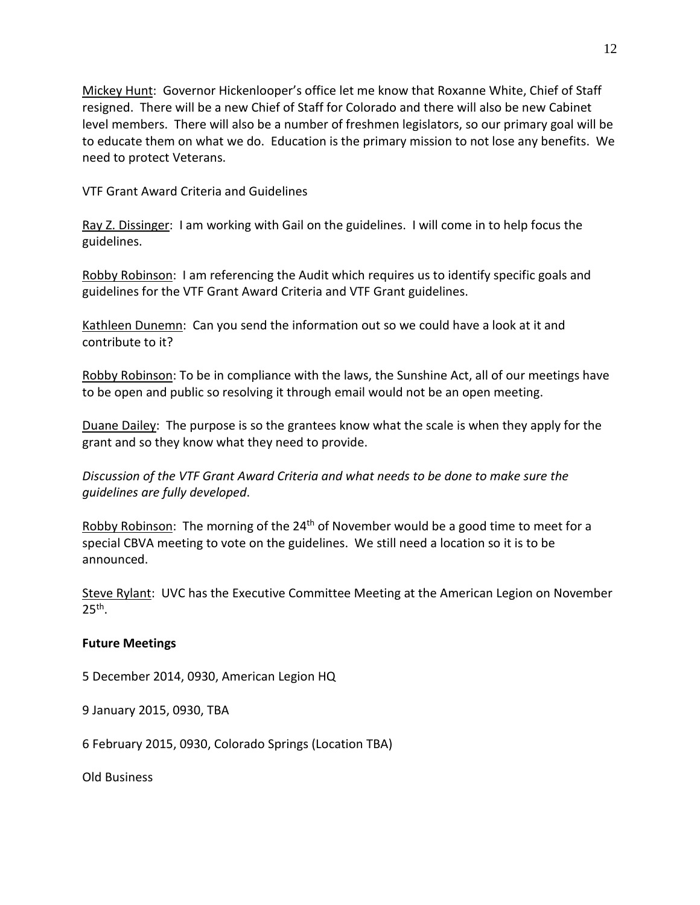Mickey Hunt: Governor Hickenlooper's office let me know that Roxanne White, Chief of Staff resigned. There will be a new Chief of Staff for Colorado and there will also be new Cabinet level members. There will also be a number of freshmen legislators, so our primary goal will be to educate them on what we do. Education is the primary mission to not lose any benefits. We need to protect Veterans.

VTF Grant Award Criteria and Guidelines

Ray Z. Dissinger: I am working with Gail on the guidelines. I will come in to help focus the guidelines.

Robby Robinson: I am referencing the Audit which requires us to identify specific goals and guidelines for the VTF Grant Award Criteria and VTF Grant guidelines.

Kathleen Dunemn: Can you send the information out so we could have a look at it and contribute to it?

Robby Robinson: To be in compliance with the laws, the Sunshine Act, all of our meetings have to be open and public so resolving it through email would not be an open meeting.

Duane Dailey: The purpose is so the grantees know what the scale is when they apply for the grant and so they know what they need to provide.

*Discussion of the VTF Grant Award Criteria and what needs to be done to make sure the guidelines are fully developed*.

Robby Robinson: The morning of the 24<sup>th</sup> of November would be a good time to meet for a special CBVA meeting to vote on the guidelines. We still need a location so it is to be announced.

Steve Rylant: UVC has the Executive Committee Meeting at the American Legion on November  $25<sup>th</sup>$ .

## **Future Meetings**

5 December 2014, 0930, American Legion HQ

9 January 2015, 0930, TBA

6 February 2015, 0930, Colorado Springs (Location TBA)

Old Business